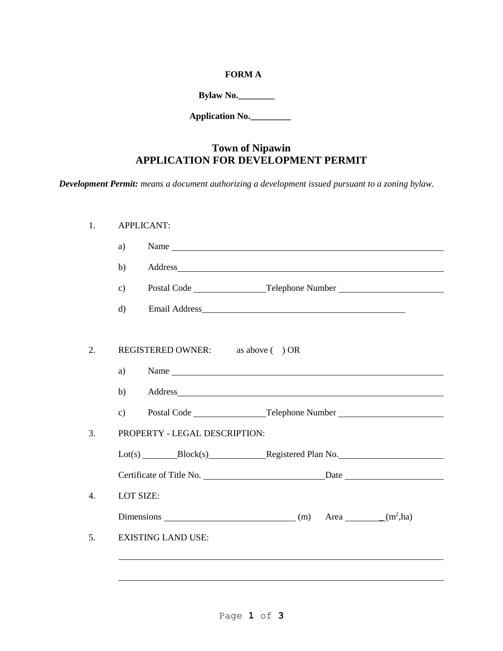## **FORM A**

**Bylaw No.\_\_\_\_\_\_\_\_**

**Application No.\_\_\_\_\_\_\_\_\_** 

# **Town of Nipawin APPLICATION FOR DEVELOPMENT PERMIT**

*Development Permit: means a document authorizing a development issued pursuant to a zoning bylaw.*

| <b>APPLICANT:</b> |                                   |                                                                                                                                                                                                                                |  |  |  |
|-------------------|-----------------------------------|--------------------------------------------------------------------------------------------------------------------------------------------------------------------------------------------------------------------------------|--|--|--|
| a)                |                                   | Name                                                                                                                                                                                                                           |  |  |  |
| b)                |                                   |                                                                                                                                                                                                                                |  |  |  |
| $\mathbf{c}$ )    |                                   | Postal Code __________________Telephone Number _________________________________                                                                                                                                               |  |  |  |
| $\mathbf{d}$      |                                   |                                                                                                                                                                                                                                |  |  |  |
|                   | REGISTERED OWNER: as above ( ) OR |                                                                                                                                                                                                                                |  |  |  |
| a)                |                                   |                                                                                                                                                                                                                                |  |  |  |
| b)                |                                   | Address and the contract of the contract of the contract of the contract of the contract of the contract of the contract of the contract of the contract of the contract of the contract of the contract of the contract of th |  |  |  |
| $\mathbf{c})$     |                                   |                                                                                                                                                                                                                                |  |  |  |
|                   | PROPERTY - LEGAL DESCRIPTION:     |                                                                                                                                                                                                                                |  |  |  |
|                   |                                   | Lot(s) Block(s) Registered Plan No.                                                                                                                                                                                            |  |  |  |
|                   |                                   |                                                                                                                                                                                                                                |  |  |  |
|                   |                                   | Certificate of Title No.                                                                                                                                                                                                       |  |  |  |
|                   | LOT SIZE:                         |                                                                                                                                                                                                                                |  |  |  |
|                   |                                   | Dimensions $(m)$ Area $(m^2, ha)$                                                                                                                                                                                              |  |  |  |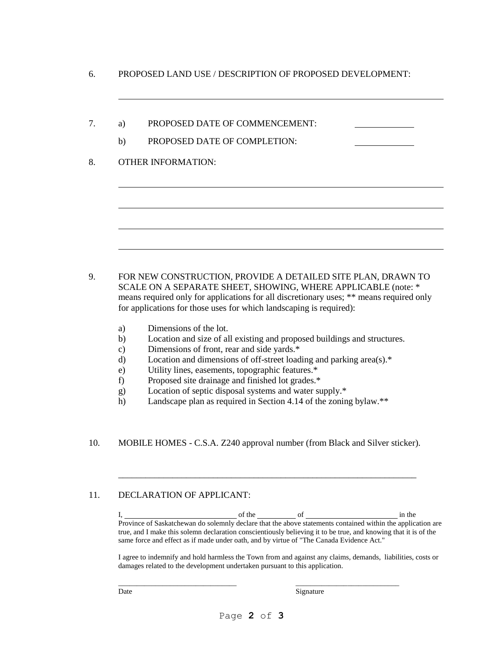- 6. PROPOSED LAND USE / DESCRIPTION OF PROPOSED DEVELOPMENT:
- 7. a) PROPOSED DATE OF COMMENCEMENT:
	- b) PROPOSED DATE OF COMPLETION:

#### 8. OTHER INFORMATION:

- 9. FOR NEW CONSTRUCTION, PROVIDE A DETAILED SITE PLAN, DRAWN TO SCALE ON A SEPARATE SHEET, SHOWING, WHERE APPLICABLE (note: \* means required only for applications for all discretionary uses; \*\* means required only for applications for those uses for which landscaping is required):
	- a) Dimensions of the lot.
	- b) Location and size of all existing and proposed buildings and structures.
	- c) Dimensions of front, rear and side yards.\*
	- d) Location and dimensions of off-street loading and parking area(s).\*
	- e) Utility lines, easements, topographic features.\*
	- f) Proposed site drainage and finished lot grades.\*
	- g) Location of septic disposal systems and water supply.\*
	- h) Landscape plan as required in Section 4.14 of the zoning bylaw.\*\*
- 10. MOBILE HOMES C.S.A. Z240 approval number (from Black and Silver sticker).

\_\_\_\_\_\_\_\_\_\_\_\_\_\_\_\_\_\_\_\_\_\_\_\_\_\_\_\_\_\_\_\_\_\_\_\_\_\_\_\_\_\_\_\_\_\_\_\_\_\_\_\_\_\_\_\_\_\_\_\_\_\_\_\_\_\_

## 11. DECLARATION OF APPLICANT:

I, 1. The of the of the of the state of the state  $\frac{1}{2}$  in the state of  $\frac{1}{2}$  in the state of  $\frac{1}{2}$  in the state of  $\frac{1}{2}$  in the state of  $\frac{1}{2}$  in the state of  $\frac{1}{2}$  in the state of  $\frac{1}{2}$  in the Province of Saskatchewan do solemnly declare that the above statements contained within the application are true, and I make this solemn declaration conscientiously believing it to be true, and knowing that it is of the same force and effect as if made under oath, and by virtue of "The Canada Evidence Act."

I agree to indemnify and hold harmless the Town from and against any claims, demands, liabilities, costs or damages related to the development undertaken pursuant to this application.

Date Signature

 $\frac{1}{2}$  ,  $\frac{1}{2}$  ,  $\frac{1}{2}$  ,  $\frac{1}{2}$  ,  $\frac{1}{2}$  ,  $\frac{1}{2}$  ,  $\frac{1}{2}$  ,  $\frac{1}{2}$  ,  $\frac{1}{2}$  ,  $\frac{1}{2}$  ,  $\frac{1}{2}$  ,  $\frac{1}{2}$  ,  $\frac{1}{2}$  ,  $\frac{1}{2}$  ,  $\frac{1}{2}$  ,  $\frac{1}{2}$  ,  $\frac{1}{2}$  ,  $\frac{1}{2}$  ,  $\frac{1$